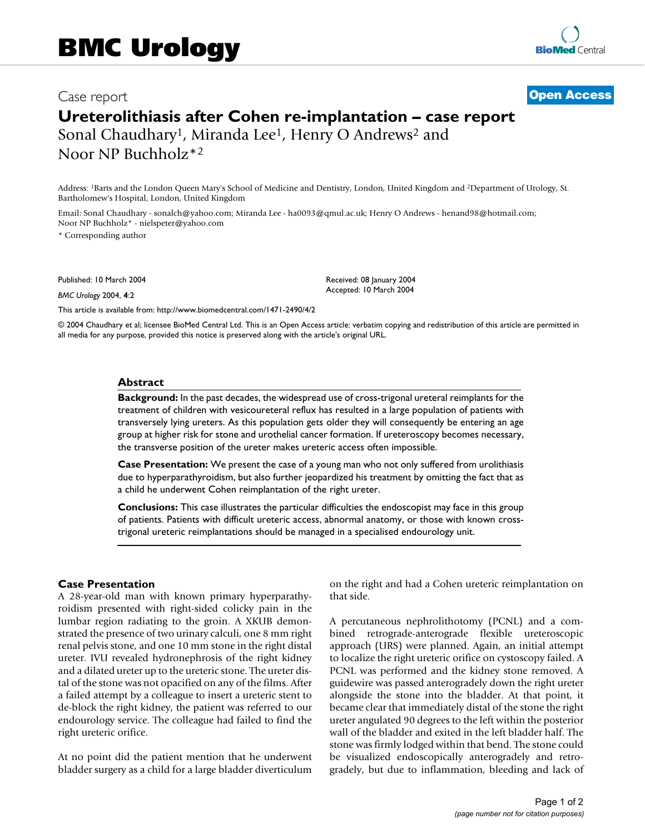# Case report **[Open Access](http://www.biomedcentral.com/info/about/charter/) Ureterolithiasis after Cohen re-implantation – case report** Sonal Chaudhary<sup>1</sup>, Miranda Lee<sup>1</sup>, Henry O Andrews<sup>2</sup> and Noor NP Buchholz\*2

Address: 1Barts and the London Queen Mary's School of Medicine and Dentistry, London, United Kingdom and 2Department of Urology, St. Bartholomew's Hospital, London, United Kingdom

Email: Sonal Chaudhary - sonalch@yahoo.com; Miranda Lee - ha0093@qmul.ac.uk; Henry O Andrews - henand98@hotmail.com; Noor NP Buchholz\* - nielspeter@yahoo.com

\* Corresponding author

Published: 10 March 2004

*BMC Urology* 2004, **4**:2

[This article is available from: http://www.biomedcentral.com/1471-2490/4/2](http://www.biomedcentral.com/1471-2490/4/2)

© 2004 Chaudhary et al; licensee BioMed Central Ltd. This is an Open Access article: verbatim copying and redistribution of this article are permitted in all media for any purpose, provided this notice is preserved along with the article's original URL.

Received: 08 January 2004 Accepted: 10 March 2004

#### **Abstract**

**Background:** In the past decades, the widespread use of cross-trigonal ureteral reimplants for the treatment of children with vesicoureteral reflux has resulted in a large population of patients with transversely lying ureters. As this population gets older they will consequently be entering an age group at higher risk for stone and urothelial cancer formation. If ureteroscopy becomes necessary, the transverse position of the ureter makes ureteric access often impossible.

**Case Presentation:** We present the case of a young man who not only suffered from urolithiasis due to hyperparathyroidism, but also further jeopardized his treatment by omitting the fact that as a child he underwent Cohen reimplantation of the right ureter.

**Conclusions:** This case illustrates the particular difficulties the endoscopist may face in this group of patients. Patients with difficult ureteric access, abnormal anatomy, or those with known crosstrigonal ureteric reimplantations should be managed in a specialised endourology unit.

#### **Case Presentation**

A 28-year-old man with known primary hyperparathyroidism presented with right-sided colicky pain in the lumbar region radiating to the groin. A XKUB demonstrated the presence of two urinary calculi, one 8 mm right renal pelvis stone, and one 10 mm stone in the right distal ureter. IVU revealed hydronephrosis of the right kidney and a dilated ureter up to the ureteric stone. The ureter distal of the stone was not opacified on any of the films. After a failed attempt by a colleague to insert a ureteric stent to de-block the right kidney, the patient was referred to our endourology service. The colleague had failed to find the right ureteric orifice.

At no point did the patient mention that he underwent bladder surgery as a child for a large bladder diverticulum on the right and had a Cohen ureteric reimplantation on that side.

A percutaneous nephrolithotomy (PCNL) and a combined retrograde-anterograde flexible ureteroscopic approach (URS) were planned. Again, an initial attempt to localize the right ureteric orifice on cystoscopy failed. A PCNL was performed and the kidney stone removed. A guidewire was passed anterogradely down the right ureter alongside the stone into the bladder. At that point, it became clear that immediately distal of the stone the right ureter angulated 90 degrees to the left within the posterior wall of the bladder and exited in the left bladder half. The stone was firmly lodged within that bend. The stone could be visualized endoscopically anterogradely and retrogradely, but due to inflammation, bleeding and lack of